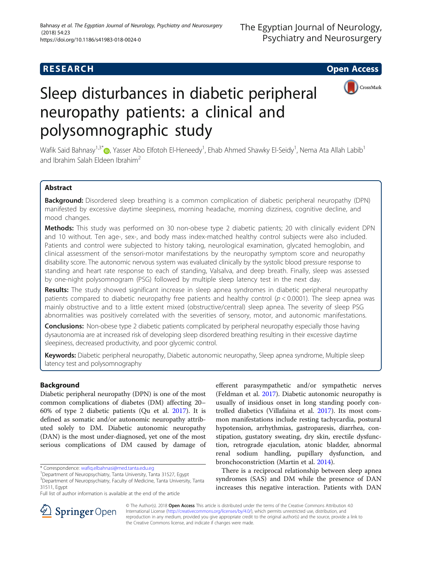# **RESEARCH CHE Open Access**



# Sleep disturbances in diabetic peripheral neuropathy patients: a clinical and polysomnographic study

Wafik Said Bahnasy<sup>1,3[\\*](http://orcid.org/0000-0001-5544-3958)</sup>�, Yasser Abo Elfotoh El-Heneedy<sup>1</sup>, Ehab Ahmed Shawky El-Seidy<sup>1</sup>, Nema Ata Allah Labib<sup>1</sup> and Ibrahim Salah Eldeen Ibrahim<sup>2</sup>

# Abstract

Background: Disordered sleep breathing is a common complication of diabetic peripheral neuropathy (DPN) manifested by excessive daytime sleepiness, morning headache, morning dizziness, cognitive decline, and mood changes.

Methods: This study was performed on 30 non-obese type 2 diabetic patients; 20 with clinically evident DPN and 10 without. Ten age-, sex-, and body mass index-matched healthy control subjects were also included. Patients and control were subjected to history taking, neurological examination, glycated hemoglobin, and clinical assessment of the sensori-motor manifestations by the neuropathy symptom score and neuropathy disability score. The autonomic nervous system was evaluated clinically by the systolic blood pressure response to standing and heart rate response to each of standing, Valsalva, and deep breath. Finally, sleep was assessed by one-night polysomnogram (PSG) followed by multiple sleep latency test in the next day.

Results: The study showed significant increase in sleep apnea syndromes in diabetic peripheral neuropathy patients compared to diabetic neuropathy free patients and healthy control ( $p < 0.0001$ ). The sleep apnea was mainly obstructive and to a little extent mixed (obstructive/central) sleep apnea. The severity of sleep PSG abnormalities was positively correlated with the severities of sensory, motor, and autonomic manifestations.

**Conclusions:** Non-obese type 2 diabetic patients complicated by peripheral neuropathy especially those having dysautonomia are at increased risk of developing sleep disordered breathing resulting in their excessive daytime sleepiness, decreased productivity, and poor glycemic control.

Keywords: Diabetic peripheral neuropathy, Diabetic autonomic neuropathy, Sleep apnea syndrome, Multiple sleep latency test and polysomnography

# Background

Diabetic peripheral neuropathy (DPN) is one of the most common complications of diabetes (DM) affecting 20– 60% of type 2 diabetic patients (Qu et al. [2017\)](#page-6-0). It is defined as somatic and/or autonomic neuropathy attributed solely to DM. Diabetic autonomic neuropathy (DAN) is the most under-diagnosed, yet one of the most serious complications of DM caused by damage of

efferent parasympathetic and/or sympathetic nerves (Feldman et al. [2017\)](#page-5-0). Diabetic autonomic neuropathy is usually of insidious onset in long standing poorly controlled diabetics (Villafaina et al. [2017\)](#page-6-0). Its most common manifestations include resting tachycardia, postural hypotension, arrhythmias, gastroparesis, diarrhea, constipation, gustatory sweating, dry skin, erectile dysfunction, retrograde ejaculation, atonic bladder, abnormal renal sodium handling, pupillary dysfunction, and bronchoconstriction (Martin et al. [2014](#page-5-0)).

There is a reciprocal relationship between sleep apnea syndromes (SAS) and DM while the presence of DAN increases this negative interaction. Patients with DAN



© The Author(s). 2018 Open Access This article is distributed under the terms of the Creative Commons Attribution 4.0 International License ([http://creativecommons.org/licenses/by/4.0/\)](http://creativecommons.org/licenses/by/4.0/), which permits unrestricted use, distribution, and reproduction in any medium, provided you give appropriate credit to the original author(s) and the source, provide a link to the Creative Commons license, and indicate if changes were made.

<sup>\*</sup> Correspondence: [wafiq.elbahnasi@med.tanta.edu.eg](mailto:wafiq.elbahnasi@med.tanta.edu.eg) <sup>1</sup>

<sup>&</sup>lt;sup>1</sup>Department of Neuropsychiatry, Tanta University, Tanta 31527, Egypt

<sup>&</sup>lt;sup>3</sup>Department of Neuropsychiatry, Faculty of Medicine, Tanta University, Tanta 31511, Egypt

Full list of author information is available at the end of the article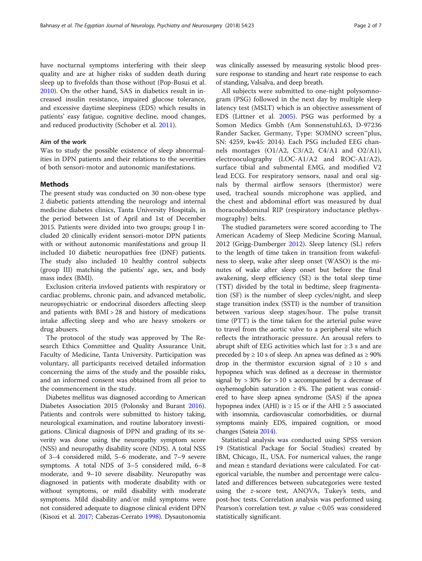have nocturnal symptoms interfering with their sleep quality and are at higher risks of sudden death during sleep up to fivefolds than those without (Pop-Busui et al. [2010](#page-6-0)). On the other hand, SAS in diabetics result in increased insulin resistance, impaired glucose tolerance, and excessive daytime sleepiness (EDS) which results in patients' easy fatigue, cognitive decline, mood changes, and reduced productivity (Schober et al. [2011\)](#page-6-0).

### Aim of the work

Was to study the possible existence of sleep abnormalities in DPN patients and their relations to the severities of both sensori-motor and autonomic manifestations.

### Methods

The present study was conducted on 30 non-obese type 2 diabetic patients attending the neurology and internal medicine diabetes clinics, Tanta University Hospitals, in the period between 1st of April and 1st of December 2015. Patients were divided into two groups; group I included 20 clinically evident sensori-motor DPN patients with or without autonomic manifestations and group II included 10 diabetic neuropathies free (DNF) patients. The study also included 10 healthy control subjects (group III) matching the patients' age, sex, and body mass index (BMI).

Exclusion criteria invloved patients with respiratory or cardiac problems, chronic pain, and advanced metabolic, neuropsychiatric or endocrinal disorders affecting sleep and patients with BMI > 28 and history of medications intake affecting sleep and who are heavy smokers or drug abusers.

The protocol of the study was approved by The Research Ethics Committee and Quality Assurance Unit, Faculty of Medicine, Tanta University. Participation was voluntary, all participants received detailed information concerning the aims of the study and the possible risks, and an informed consent was obtained from all prior to the commencement in the study.

Diabetes mellitus was diagnosed according to American Diabetes Association 2015 (Polonsky and Burant [2016](#page-6-0)). Patients and controls were submitted to history taking, neurological examination, and routine laboratory investigations. Clinical diagnosis of DPN and grading of its severity was done using the neuropathy symptom score (NSS) and neuropathy disability score (NDS). A total NSS of 3–4 considered mild, 5–6 moderate, and 7–9 severe symptoms. A total NDS of 3–5 considered mild, 6–8 moderate, and 9–10 severe disability. Neuropathy was diagnosed in patients with moderate disability with or without symptoms, or mild disability with moderate symptoms. Mild disability and/or mild symptoms were not considered adequate to diagnose clinical evident DPN (Kisozi et al. [2017](#page-5-0); Cabezas-Cerrato [1998](#page-5-0)). Dysautonomia

was clinically assessed by measuring systolic blood pressure response to standing and heart rate response to each of standing, Valsalva, and deep breath.

All subjects were submitted to one-night polysomnogram (PSG) followed in the next day by multiple sleep latency test (MSLT) which is an objective assessment of EDS (Littner et al. [2005\)](#page-5-0). PSG was performed by a Somon Medics Gmbh (Am SonnenstuhL63, D-97236 Rander Sacker, Germany, Type: SOMNO screen™plus, SN: 4259, kw45: 2014). Each PSG included EEG channels montages (O1/A2, C3/A2, C4/A1 and O2/A1), electrooculography (LOC-A1/A2 and ROC-A1/A2), surface tibial and submental EMG, and modified V2 lead ECG. For respiratory sensors, nasal and oral signals by thermal airflow sensors (thermistor) were used, tracheal sounds microphone was applied, and the chest and abdominal effort was measured by dual thoracoabdominal RIP (respiratory inductance plethysmography) belts.

The studied parameters were scored according to The American Academy of Sleep Medicine Scoring Manual, 2012 (Grigg-Damberger [2012](#page-5-0)). Sleep latency (SL) refers to the length of time taken in transition from wakefulness to sleep, wake after sleep onset (WASO) is the minutes of wake after sleep onset but before the final awakening, sleep efficiency (SE) is the total sleep time (TST) divided by the total in bedtime, sleep fragmentation (SF) is the number of sleep cycles/night, and sleep stage transition index (SSTI) is the number of transition between various sleep stages/hour. The pulse transit time (PTT) is the time taken for the arterial pulse wave to travel from the aortic valve to a peripheral site which reflects the intrathoracic pressure. An arousal refers to abrupt shift of EEG activities which last for  $\geq 3$  s and are preceded by  $\geq 10$  s of sleep. An apnea was defined as  $\geq 90\%$ drop in the thermistor excursion signal of  $\geq 10$  s and hypopnea which was defined as a decrease in thermistor signal by  $>30\%$  for  $>10$  s accompanied by a decrease of oxyhemoglobin saturation  $\geq 4\%$ . The patient was considered to have sleep apnea syndrome (SAS) if the apnea hypopnea index (AHI) is  $\geq 15$  or if the AHI  $\geq 5$  associated with insomnia, cardiovascular comorbidities, or diurnal symptoms mainly EDS, impaired cognition, or mood changes (Sateia [2014\)](#page-6-0).

Statistical analysis was conducted using SPSS version 19 (Statistical Package for Social Studies) created by IBM, Chicago, IL, USA. For numerical values, the range and mean ± standard deviations were calculated. For categorical variable, the number and percentage were calculated and differences between subcategories were tested using the z-score test, ANOVA, Tukey's tests, and post-hoc tests. Correlation analysis was performed using Pearson's correlation test.  $p$  value  $<0.05$  was considered statistically significant.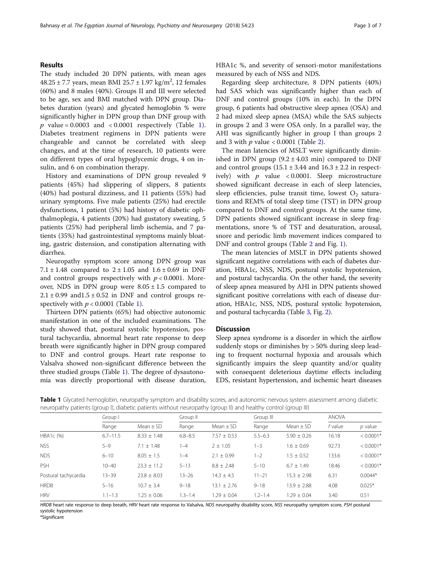#### Results

The study included 20 DPN patients, with mean ages  $48.25 \pm 7.7$  years, mean BMI  $25.7 \pm 1.97$  kg/m<sup>2</sup>, 12 females (60%) and 8 males (40%). Groups II and III were selected to be age, sex and BMI matched with DPN group. Diabetes duration (years) and glycated hemoglobin % were significantly higher in DPN group than DNF group with p value =  $0.0003$  and <  $0.0001$  respectively (Table 1). Diabetes treatment regimens in DPN patients were changeable and cannot be correlated with sleep changes, and at the time of research, 10 patients were on different types of oral hypoglycemic drugs, 4 on insulin, and 6 on combination therapy.

History and examinations of DPN group revealed 9 patients (45%) had slippering of slippers, 8 patients (40%) had postural dizziness, and 11 patients (55%) had urinary symptoms. Five male patients (25%) had erectile dysfunctions, 1 patient (5%) had history of diabetic ophthalmoplegia, 4 patients (20%) had gustatory sweating, 5 patients (25%) had peripheral limb ischemia, and 7 patients (35%) had gastrointestinal symptoms mainly bloating, gastric distension, and constipation alternating with diarrhea.

Neuropathy symptom score among DPN group was  $7.1 \pm 1.48$  compared to  $2 \pm 1.05$  and  $1.6 \pm 0.69$  in DNF and control groups respectively with  $p < 0.0001$ . Moreover, NDS in DPN group were  $8.05 \pm 1.5$  compared to  $2.1 \pm 0.99$  and  $1.5 \pm 0.52$  in DNF and control groups respectively with  $p < 0.0001$  (Table 1).

Thirteen DPN patients (65%) had objective autonomic manifestation in one of the included examinations. The study showed that, postural systolic hypotension, postural tachycardia, abnormal heart rate response to deep breath were significantly higher in DPN group compared to DNF and control groups. Heart rate response to Valsalva showed non-significant difference between the three studied groups (Table 1). The degree of dysautonomia was directly proportional with disease duration, HBA1c %, and severity of sensori-motor manifestations measured by each of NSS and NDS.

Regarding sleep architecture, 8 DPN patients (40%) had SAS which was significantly higher than each of DNF and control groups (10% in each). In the DPN group, 6 patients had obstructive sleep apnea (OSA) and 2 had mixed sleep apnea (MSA) while the SAS subjects in groups 2 and 3 were OSA only. In a parallel way, the AHI was significantly higher in group I than groups 2 and 3 with  $p$  value < 0.0001 (Table [2\)](#page-3-0).

The mean latencies of MSLT were significantly diminished in DPN group  $(9.2 \pm 4.03 \text{ min})$  compared to DNF and control groups  $(15.1 \pm 3.44$  and  $16.3 \pm 2.2$  in respectively) with  $p$  value < 0.0001. Sleep microstructure showed significant decrease in each of sleep latencies, sleep efficiencies, pulse transit time, lowest  $O_2$  saturations and REM% of total sleep time (TST) in DPN group compared to DNF and control groups. At the same time, DPN patients showed significant increase in sleep fragmentations, snore % of TST and desaturation, arousal, snore and periodic limb movement indices compared to DNF and control groups (Table [2](#page-3-0) and Fig. [1\)](#page-3-0).

The mean latencies of MSLT in DPN patients showed significant negative correlations with each of diabetes duration, HBA1c, NSS, NDS, postural systolic hypotension, and postural tachycardia. On the other hand, the severity of sleep apnea measured by AHI in DPN patients showed significant positive correlations with each of disease duration, HBA1c, NSS, NDS, postural systolic hypotension, and postural tachycardia (Table [3,](#page-4-0) Fig. [2\)](#page-4-0).

#### **Discussion**

Sleep apnea syndrome is a disorder in which the airflow suddenly stops or diminishes by > 50% during sleep leading to frequent nocturnal hypoxia and arousals which significantly impairs the sleep quantity and/or quality with consequent deleterious daytime effects including EDS, resistant hypertension, and ischemic heart diseases

Table 1 Glycated hemoglobin, neuropathy symptom and disability scores, and autonomic nervous system assessment among diabetic neuropathy patients (group I), diabetic patients without neuropathy (group II) and healthy control (group III)

|                      | Group I      |                 | Group II    |                 | Group III   |                 | <b>ANOVA</b> |             |
|----------------------|--------------|-----------------|-------------|-----------------|-------------|-----------------|--------------|-------------|
|                      | Range        | Mean $\pm$ SD   | Range       | $Mean \pm SD$   | Range       | Mean $\pm$ SD   | f value      | $p$ value   |
| HBA1c (%)            | $6.7 - 11.5$ | $8.33 \pm 1.48$ | $6.8 - 8.5$ | $7.57 + 0.53$   | $5.5 - 6.3$ | $5.90 \pm 0.26$ | 16.18        | $< 0.0001*$ |
| <b>NSS</b>           | $5 - 9$      | $7.1 \pm 1.48$  | $ -4$       | $2 + 1.05$      | 1-3         | $1.6 \pm 0.69$  | 92.73        | $< 0.0001*$ |
| <b>NDS</b>           | $6 - 10$     | $8.05 + 1.5$    | $-4$        | $2.1 + 0.99$    | $1 - 2$     | $1.5 \pm 0.52$  | 133.6        | $< 0.0001*$ |
| PSH                  | $10 - 40$    | $23.3 + 11.2$   | $5 - 13$    | $8.8 + 2.48$    | $5 - 10$    | $6.7 + 1.49$    | 18.46        | $< 0.0001*$ |
| Postural tachycardia | $13 - 39$    | $23.8 \pm 8.03$ | $13 - 26$   | $14.3 \pm 4.5$  | $11 - 21$   | $15.3 \pm 2.98$ | 6.31         | $0.0044*$   |
| <b>HRDB</b>          | $5 - 16$     | $10.7 \pm 3.4$  | $9 - 18$    | $13.1 \pm 2.76$ | $9 - 18$    | $13.9 + 2.88$   | 4.08         | $0.025*$    |
| <b>HRV</b>           | $1.1 - 1.3$  | $1.25 + 0.06$   | $1.3 - 1.4$ | $1.29 + 0.04$   | $1.2 - 1.4$ | $.29 + 0.04$    | 3.40         | 0.51        |

HRDB heart rate response to deep breath, HRV heart rate response to Valsalva, NDS neuropathy disability score, NSS neuropathy symptom score, PSH postural systolic hypotension

\*Significant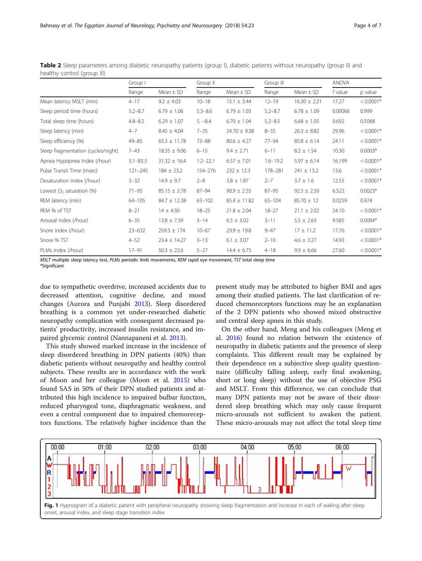MSLT multiple sleep latency test, PLMs periodic limb movements, REM rapid eye movement, TST total sleep time \*Significant

due to sympathetic overdrive, increased accidents due to decreased attention, cognitive decline, and mood changes (Aurora and Punjabi [2013](#page-5-0)). Sleep disordered breathing is a common yet under-researched diabetic neuropathy complication with consequent decreased patients' productivity, increased insulin resistance, and impaired glycemic control (Nannapaneni et al. [2013\)](#page-5-0).

This study showed marked increase in the incidence of sleep disordered breathing in DPN patients (40%) than diabetic patients without neuropathy and healthy control subjects. These results are in accordance with the work of Moon and her colleague (Moon et al. [2015\)](#page-5-0) who found SAS in 50% of their DPN studied patients and attributed this high incidence to impaired bulbar function, reduced pharyngeal tone, diaphragmatic weakness, and even a central component due to impaired chemoreceptors functions. The relatively higher incidence than the

present study may be attributed to higher BMI and ages among their studied patients. The last clarification of reduced chemoreceptors functions may be an explanation of the 2 DPN patients who showed mixed obstructive and central sleep apnea in this study.

On the other hand, Meng and his colleagues (Meng et al. [2016\)](#page-5-0) found no relation between the existence of neuropathy in diabetic patients and the presence of sleep complaints. This different result may be explained by their dependence on a subjective sleep quality questionnaire (difficulty falling asleep, early final awakening, short or long sleep) without the use of objective PSG and MSLT. From this difference, we can conclude that many DPN patients may not be aware of their disordered sleep breathing which may only cause frequent micro-arousals not sufficient to awaken the patient. These micro-arousals may not affect the total sleep time



<span id="page-3-0"></span>Table 2 Sleep parameters among diabetic neuropathy patients (group I), diabetic patients without neuropathy (group II) and healthy control (group III)

|                                    | Group I      |                  | Group II     |                  | Group III    |                  | <b>ANOVA</b> |             |
|------------------------------------|--------------|------------------|--------------|------------------|--------------|------------------|--------------|-------------|
|                                    | Range        | Mean $\pm$ SD    | Range        | $Mean \pm SD$    | Range        | Mean $\pm$ SD    | f value      | $p$ value   |
| Mean latency MSLT (min)            | $4 - 17$     | $9.2 \pm 4.03$   | $10 - 18$    | $15.1 \pm 3.44$  | $12 - 19$    | $16.30 \pm 2.21$ | 17.27        | $< 0.0001*$ |
| Sleep period time (hours)          | $5.2 - 8.7$  | $6.79 \pm 1.06$  | $5.3 - 8.6$  | $6.79 \pm 1.03$  | $5.2 - 8.7$  | $6.78 \pm 1.09$  | 0.00066      | 0.999       |
| Total sleep time (hours)           | $4.8 - 8.5$  | $6.29 \pm 1.07$  | $5. -8.4$    | $6.70 \pm 1.04$  | $5.2 - 8.5$  | $6.68 \pm 1.05$  | 0.692        | 0.5068      |
| Sleep latency (min)                | $4 - 7$      | $8.45 \pm 4.04$  | $7 - 35$     | $24.70 \pm 9.38$ | $8 - 35$     | $26.3 \pm 8.82$  | 29.96        | $< 0.0001*$ |
| Sleep efficiency (%)               | 49-85        | $63.3 \pm 11.78$ | $73 - 88$    | $80.6 \pm 4.27$  | $77 - 94$    | $85.8 \pm 6.14$  | 24.11        | $< 0.0001*$ |
| Sleep fragmentation (cycles/night) | $7 - 43$     | $18.35 \pm 9.06$ | $6 - 15$     | $9.4 \pm 2.71$   | $6 - 11$     | $8.2 \pm 1.54$   | 10.30        | $0.0003*$   |
| Apnea Hypopnea Index (/hour)       | $3.1 - 83.3$ | $31.32 \pm 16.4$ | $1.2 - 22.1$ | $6.57 \pm 7.01$  | $1.6 - 19.2$ | $5.97 \pm 6.14$  | 16.199       | $< 0.0001*$ |
| Pulse Transit Time (msec)          | $121 - 245$  | $184 \pm 23.2$   | 154-276      | $232 \pm 12.3$   | 178-281      | $241 \pm 13.2$   | 13.6         | $< 0.0001*$ |
| Desaturation index (/hour)         | $3 - 32$     | $14.9 \pm 9.7$   | $2 - 8$      | $3.8 \pm 1.87$   | $2 - 7$      | $3.7 \pm 1.6$    | 12.55        | $< 0.0001*$ |
| Lowest $O2$ saturation (%)         | $71 - 95$    | $85.15 \pm 3.78$ | $87 - 94$    | $90.9 \pm 2.55$  | $87 - 95$    | $92.5 \pm 2.50$  | 6.522        | $0.0023*$   |
| REM latency (min)                  | $64 - 105$   | $84.7 \pm 12.38$ | $63 - 102$   | $85.4 \pm 11.82$ | $65 - 104$   | $85.70 \pm 12$   | 0.0259       | 0.974       |
| REM % of TST                       | $8 - 21$     | $14 \pm 4.30$    | $18 - 25$    | $21.8 \pm 2.04$  | $18 - 27$    | $21.1 \pm 2.02$  | 24.10        | $< 0.0001*$ |
| Arousal index (/hour)              | $6 - 35$     | $13.8 \pm 7.39$  | $3 - 14$     | $6.5 \pm 3.02$   | $3 - 11$     | $5.5 \pm 2.63$   | 9.585        | $0.0004*$   |
| Snore index (/hour)                | $23 - 632$   | $259.3 \pm 174$  | $10 - 67$    | $29.9 \pm 19.8$  | $9 - 47$     | $17 \pm 11.2$    | 17.76        | $< 0.0001*$ |
| Snore % TST                        | $4 - 52$     | $23.4 \pm 14.27$ | $3 - 13$     | $6.1 \pm 3.07$   | $2 - 10$     | $4.6 \pm 3.27$   | 14.93        | $< 0.0001*$ |
| PLMs index (/hour)                 | $17 - 91$    | $50.3 \pm 22.6$  | $5 - 27$     | $14.4 \pm 6.73$  | $4 - 18$     | $9.9 \pm 6.66$   | 27.60        | $< 0.0001*$ |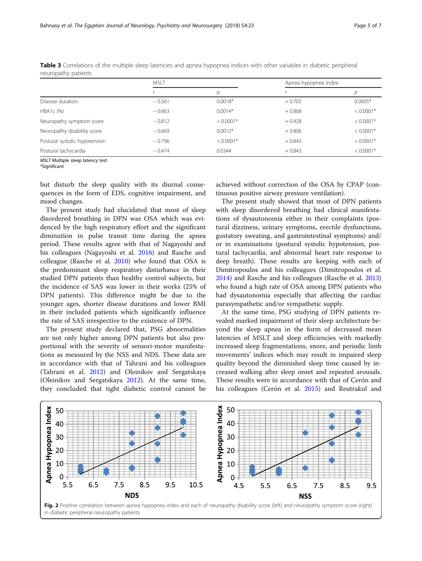|                               | <b>MSLT</b> |             | Apnea hypopnea index |             |
|-------------------------------|-------------|-------------|----------------------|-------------|
|                               |             |             |                      |             |
| Disease duration              | $-0.561$    | $0.0018*$   | $+0.703$             | $0.0005*$   |
| HBA1C (%)                     | $-0.663$    | $0.0014*$   | $+0.868$             | $< 0.0001*$ |
| Neuropathy symptom score      | $-0.812$    | $< 0.0001*$ | $+0.428$             | $< 0.0001*$ |
| Neuropathy disability score   | $-0.669$    | $0.0012*$   | $+0.806$             | $< 0.0001*$ |
| Postural systolic hypotension | $-0.796$    | $< 0.0001*$ | $+0.843$             | $< 0.0001*$ |
| Postural tachycardia          | $-0.474$    | 0.0344      | $+0.843$             | $< 0.0001*$ |
|                               |             |             |                      |             |

<span id="page-4-0"></span>Table 3 Correlations of the multiple sleep latencies and apnea hypopnea indices with other variables in diabetic peripheral neuropathy patients

MSLT Multiple sleep latency test

\*Significant

but disturb the sleep quality with its diurnal consequences in the form of EDS, cognitive impairment, and mood changes.

The present study had elucidated that most of sleep disordered breathing in DPN was OSA which was evidenced by the high respiratory effort and the significant diminution in pulse transit time during the apnea period. These results agree with that of Nagayoshi and his colleagues (Nagayoshi et al. [2016\)](#page-5-0) and Rasche and colleague (Rasche et al. [2010](#page-6-0)) who found that OSA is the predominant sleep respiratory disturbance in their studied DPN patients than healthy control subjects, but the incidence of SAS was lower in their works (25% of DPN patients). This difference might be due to the younger ages, shorter disease durations and lower BMI in their included patients which significantly influence the rate of SAS irrespective to the existence of DPN.

The present study declared that, PSG abnormalities are not only higher among DPN patients but also proportional with the severity of sensori-motor manifestations as measured by the NSS and NDS. These data are in accordance with that of Tahrani and his colleagues (Tahrani et al. [2012\)](#page-6-0) and Oleinikov and Sergatskaya (Oleinikov and Sergatskaya [2012](#page-6-0)). At the same time, they concluded that tight diabetic control cannot be achieved without correction of the OSA by CPAP (continuous positive airway pressure ventilation).

The present study showed that most of DPN patients with sleep disordered breathing had clinical manifestations of dysautonomia either in their complaints (postural dizziness, urinary symptoms, erectile dysfunctions, gustatory sweating, and gastrointestinal symptoms) and/ or in examinations (postural systolic hypotension, postural tachycardia, and abnormal heart rate response to deep breath). These results are keeping with each of Dimitropoulos and his colleagues (Dimitropoulos et al. [2014](#page-5-0)) and Rasche and his colleagues (Rasche et al. [2013](#page-6-0)) who found a high rate of OSA among DPN patients who had dysautonomia especially that affecting the cardiac parasympathetic and/or sympathetic supply.

At the same time, PSG studying of DPN patients revealed marked impairment of their sleep architecture beyond the sleep apnea in the form of decreased mean latencies of MSLT and sleep efficiencies with markedly increased sleep fragmentations, snore, and periodic limb movements' indices which may result in impaired sleep quality beyond the diminished sleep time caused by increased walking after sleep onset and repeated arousals. These results were in accordance with that of Cerón and his colleagues (Cerón et al. [2015\)](#page-5-0) and Reutrakul and

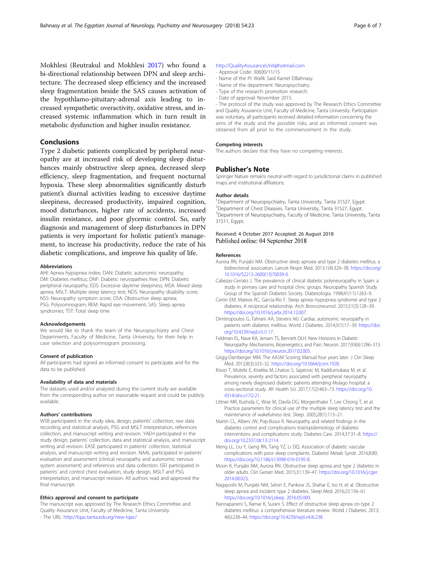<span id="page-5-0"></span>Mokhlesi (Reutrakul and Mokhlesi [2017](#page-6-0)) who found a bi-directional relationship between DPN and sleep architecture. The decreased sleep efficiency and the increased sleep fragmentation beside the SAS causes activation of the hypothlamo-pituitary-adrenal axis leading to increased sympathetic overactivity, oxidative stress, and increased systemic inflammation which in turn result in metabolic dysfunction and higher insulin resistance.

## Conclusions

Type 2 diabetic patients complicated by peripheral neuropathy are at increased risk of developing sleep disturbances mainly obstructive sleep apnea, decreased sleep efficiency, sleep fragmentation, and frequent nocturnal hypoxia. These sleep abnormalities significantly disturb patient's diurnal activities leading to excessive daytime sleepiness, decreased productivity, impaired cognition, mood disturbances, higher rate of accidents, increased insulin resistance, and poor glycemic control. So, early diagnosis and management of sleep disturbances in DPN patients is very important for holistic patient's management, to increase his productivity, reduce the rate of his diabetic complications, and improve his quality of life.

#### Abbreviations

AHI: Apnea hypopnea index; DAN: Diabetic autonomic neuropathy; DM: Diabetes mellitus; DNF: Diabetic neuropathies free; DPN: Diabetic peripheral neuropathy; EDS: Excessive daytime sleepiness; MSA: Mixed sleep apnea; MSLT: Multiple sleep latency test; NDS: Neuropathy disability score; NSS: Neuropathy symptom score; OSA: Obstructive sleep apnea; PSG: Polysomnogram; REM: Rapid eye movement; SAS: Sleep apnea syndromes; TST: Total sleep time

#### Acknowledgements

We would like to thank the team of the Neuropsychiatry and Chest Departments, Faculty of Medicine, Tanta University, for their help in case selection and polysomnogram processing.

#### Consent of publication

All participants had signed an informed consent to participate and for the data to be published.

#### Availability of data and materials

The datasets used and/or analyzed during the current study are available from the corresponding author on reasonable request and could be publicly available.

#### Authors' contributions

WSB participated in the study idea, design, patients' collection, raw data recording and statistical analysis, PSG and MSLT interpretation, references collection, and manuscript writing and revision. YAEH participated in the study design, patients' collection, data and statistical analysis, and manuscript writing and revision. EASE participated in patients' collection, statistical analysis, and manuscript writing and revision. NAAL participated in patients' evaluation and assessment (clinical neuropathy and autonomic nervous system assessment) and references and data collection. ISEI participated in patients' and control chest evaluation, study design, MSLT and PSG interpretation, and manuscript revision. All authors read and approved the final manuscript.

#### Ethics approval and consent to participate

The manuscript was approved by The Research Ethics Committee and Quality Assurance Unit, Faculty of Medicine, Tanta University. - The URL: <http://tqac.tanta.edu.eg/new-tqac/>

#### <http://QualityAssuranceUnit@hotmail.com>

- Approval Code: 30600/11/15
- Name of the PI: Wafik Said Kamel ElBahnasy.
- Name of the department: Neuropsychiatry.
- Type of the research: promotion research.
- Date of approval: November 2015.

- The protocol of the study was approved by The Research Ethics Committee and Quality Assurance Unit, Faculty of Medicine, Tanta University. Participation was voluntary, all participants received detailed information concerning the aims of the study and the possible risks, and an informed consent was obtained from all prior to the commencement in the study.

#### Competing interests

The authors declare that they have no competing interests.

#### Publisher's Note

Springer Nature remains neutral with regard to jurisdictional claims in published maps and institutional affiliations.

#### Author details

<sup>1</sup>Department of Neuropsychiatry, Tanta University, Tanta 31527, Egypt 2 Department of Chest Diseases, Tanta University, Tanta 31527, Egypt. <sup>3</sup>Department of Neuropsychiatry, Faculty of Medicine, Tanta University, Tanta 31511, Egypt.

#### Received: 4 October 2017 Accepted: 26 August 2018 Published online: 04 September 2018

#### References

- Aurora RN, Punjabi NM. Obstructive sleep apnoea and type 2 diabetes mellitus: a bidirectional association. Lancet Respir Med. 2013;1(4):329–38. [https://doi.org/](https://doi.org/10.1016/S2213-2600(13)70039-0) [10.1016/S2213-2600\(13\)70039-0.](https://doi.org/10.1016/S2213-2600(13)70039-0)
- Cabezas-Cerrato J. The prevalence of clinical diabetic polyneuropathy in Spain: a study in primary care and hospital clinic groups. Neuropathy Spanish Study Group of the Spanish Diabetes Society. Diabetologia. 1998;41(11):1263–9.
- Cerón EM, Mateos RC, García-Río F. Sleep apnea–hypopnea syndrome and type 2 diabetes. A reciprocal relationship. Arch Bronconeumol. 2015;51(3):128–39. <https://doi.org/10.1016/j.arbr.2014.12.007>.
- Dimitropoulos G, Tahrani AA, Stevens MJ. Cardiac autonomic neuropathy in patients with diabetes mellitus. World J Diabetes. 2014;5(1):17–39. [https://doi.](https://doi.org/10.4239/wjd.v5.i1.17) [org/10.4239/wjd.v5.i1.17](https://doi.org/10.4239/wjd.v5.i1.17).
- Feldman EL, Nave KA, Jensen TS, Bennett DLH. New Horizons in Diabetic Neuropathy: Mechanisms, Bioenergetics, and Pain. Neuron. 2017;93(6):1296–313. <https://doi.org/10.1016/j.neuron.2017.02.005>.
- Grigg-Damberger MM. The AASM Scoring Manual four years later. J Clin Sleep Med. 2012;8(3):323–32. <https://doi.org/10.5664/jcsm.1928>.
- Kisozi T, Mutebi E, Kisekka M, Lhatoo S, Sajatovic M, Kaddumukasa M, et al. Prevalence, severity and factors associated with peripheral neuropathy among newly diagnosed diabetic patients attending Mulago hospital: a cross-sectional study. Afr Health Sci. 2017;17(2):463–73. [https://doi.org/10.](https://doi.org/10.4314/ahs.v17i2.21) [4314/ahs.v17i2.21.](https://doi.org/10.4314/ahs.v17i2.21)
- Littner MR, Kushida C, Wise M, Davila DG, Morgenthaler T, Lee Chiong T, et al. Practice parameters for clinical use of the multiple sleep latency test and the maintenance of wakefulness test. Sleep. 2005;28(1):113–21.
- Martin CL, Albers JW, Pop-Busui R. Neuropathy and related findings in the diabetes control and complications trial/epidemiology of diabetes interventions and complications study. Diabetes Care. 2014;37:31–8. [https://](https://doi.org/10.2337/dc13-2114) [doi.org/10.2337/dc13-2114.](https://doi.org/10.2337/dc13-2114)
- Meng LL, Liu Y, Geng RN, Tang YZ, Li DQ. Association of diabetic vascular complications with poor sleep complaints. Diabetol Metab Syndr. 2016;8:80. <https://doi.org/10.1186/s13098-016-0195-8>.
- Moon K, Punjabi NM, Aurora RN. Obstructive sleep apnea and type 2 diabetes in older adults. Clin Geriatr Med. 2015;31:139–47. [https://doi.org/10.1016/j.cger.](https://doi.org/10.1016/j.cger.2014.08.023) [2014.08.023.](https://doi.org/10.1016/j.cger.2014.08.023)
- Nagayoshi M, Punjabi NM, Selvin E, Pankow JS, Shahar E, Iso H, et al. Obstructive sleep apnea and incident type 2 diabetes. Sleep Med. 2016;25:156–61. [https://doi.org/10.1016/j.sleep. 2016.05.009.](https://doi.org/10.1016/j.sleep. 2016.05.009)
- Nannapaneni S, Ramar K, Surani S. Effect of obstructive sleep apnea on type 2 diabetes mellitus: a comprehensive literature review. World J Diabetes. 2013; 4(6):238–44. <https://doi.org/10.4239/wjd.v4.i6.238>.